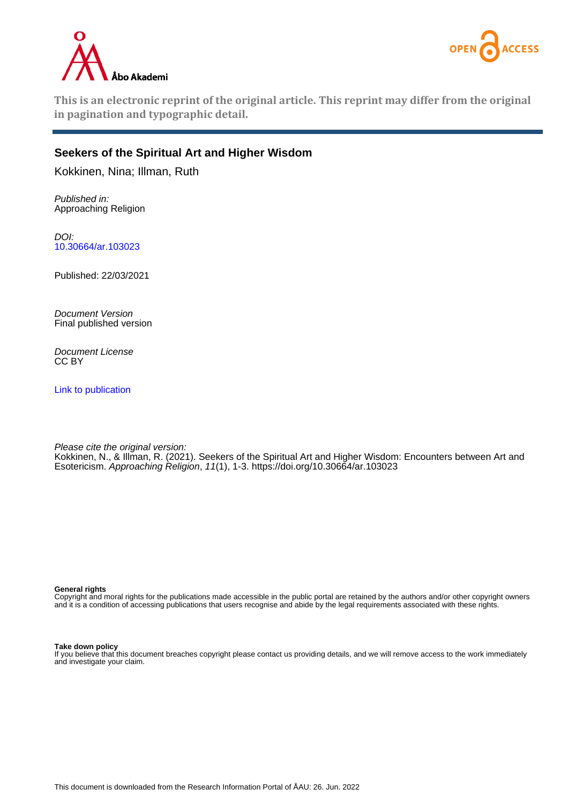



**This is an electronic reprint of the original article. This reprint may differ from the original in pagination and typographic detail.**

## **Seekers of the Spiritual Art and Higher Wisdom**

Kokkinen, Nina; Illman, Ruth

Published in: Approaching Religion

DOI: [10.30664/ar.103023](https://doi.org/10.30664/ar.103023)

Published: 22/03/2021

Document Version Final published version

Document License CC BY

[Link to publication](https://research.abo.fi/en/publications/7d602cd2-7698-4a50-9de8-dd8927e000c2)

Please cite the original version: Kokkinen, N., & Illman, R. (2021). Seekers of the Spiritual Art and Higher Wisdom: Encounters between Art and Esotericism. Approaching Religion, 11(1), 1-3. <https://doi.org/10.30664/ar.103023>

**General rights**

Copyright and moral rights for the publications made accessible in the public portal are retained by the authors and/or other copyright owners and it is a condition of accessing publications that users recognise and abide by the legal requirements associated with these rights.

**Take down policy**

If you believe that this document breaches copyright please contact us providing details, and we will remove access to the work immediately and investigate your claim.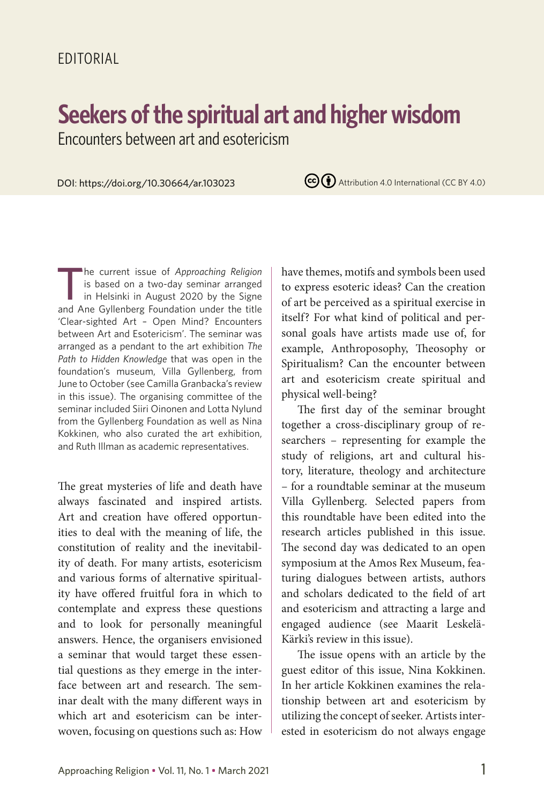## **Seekers of the spiritual art and higher wisdom**

Encounters between art and esotericism

DOI: https://doi.org/10.30664/ar.103023

 $\left(\text{cc}\right)\left(\frac{1}{2}\right)$  Attribution 4.0 International (CC BY 4.0)

The current issue of *Approaching Religion*<br>is based on a two-day seminar arranged<br>in Helsinki in August 2020 by the Signe<br>and Ane Gyllenberg Foundation under the title is based on a two-day seminar arranged in Helsinki in August 2020 by the Signe and Ane Gyllenberg Foundation under the title 'Clear-sighted Art – Open Mind? Encounters between Art and Esotericism'. The seminar was arranged as a pendant to the art exhibition *The Path to Hidden Knowledge* that was open in the foundation's museum, Villa Gyllenberg, from June to October (see Camilla Granbacka's review in this issue). The organising committee of the seminar included Siiri Oinonen and Lotta Nylund from the Gyllenberg Foundation as well as Nina Kokkinen, who also curated the art exhibition, and Ruth Illman as academic representatives.

The great mysteries of life and death have always fascinated and inspired artists. Art and creation have offered opportunities to deal with the meaning of life, the constitution of reality and the inevitability of death. For many artists, esotericism and various forms of alternative spirituality have offered fruitful fora in which to contemplate and express these questions and to look for personally meaningful answers. Hence, the organisers envisioned a seminar that would target these essential questions as they emerge in the interface between art and research. The seminar dealt with the many different ways in which art and esotericism can be interwoven, focusing on questions such as: How have themes, motifs and symbols been used to express esoteric ideas? Can the creation of art be perceived as a spiritual exercise in itself? For what kind of political and personal goals have artists made use of, for example, Anthroposophy, Theosophy or Spiritualism? Can the encounter between art and esotericism create spiritual and physical well-being?

The first day of the seminar brought together a cross-disciplinary group of researchers – representing for example the study of religions, art and cultural history, literature, theology and architecture – for a roundtable seminar at the museum Villa Gyllenberg. Selected papers from this roundtable have been edited into the research articles published in this issue. The second day was dedicated to an open symposium at the Amos Rex Museum, featuring dialogues between artists, authors and scholars dedicated to the field of art and esotericism and attracting a large and engaged audience (see Maarit Leskelä-Kärki's review in this issue).

The issue opens with an article by the guest editor of this issue, Nina Kokkinen. In her article Kokkinen examines the relationship between art and esotericism by utilizing the concept of seeker. Artists interested in esotericism do not always engage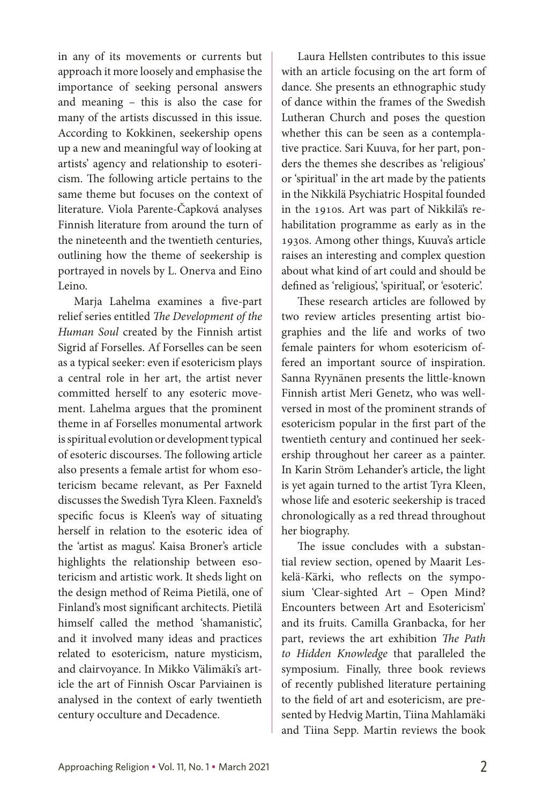in any of its movements or currents but approach it more loosely and emphasise the importance of seeking personal answers and meaning – this is also the case for many of the artists discussed in this issue. According to Kokkinen, seekership opens up a new and meaningful way of looking at artists' agency and relationship to esotericism. The following article pertains to the same theme but focuses on the context of literature. Viola Parente-Čapková analyses Finnish literature from around the turn of the nineteenth and the twentieth centuries, outlining how the theme of seekership is portrayed in novels by L. Onerva and Eino Leino.

Marja Lahelma examines a five-part relief series entitled *The Development of the Human Soul* created by the Finnish artist Sigrid af Forselles. Af Forselles can be seen as a typical seeker: even if esotericism plays a central role in her art, the artist never committed herself to any esoteric movement. Lahelma argues that the prominent theme in af Forselles monumental artwork is spiritual evolution or development typical of esoteric discourses. The following article also presents a female artist for whom esotericism became relevant, as Per Faxneld discusses the Swedish Tyra Kleen. Faxneld's specific focus is Kleen's way of situating herself in relation to the esoteric idea of the 'artist as magus'. Kaisa Broner's article highlights the relationship between esotericism and artistic work. It sheds light on the design method of Reima Pietilä, one of Finland's most significant architects. Pietilä himself called the method 'shamanistic', and it involved many ideas and practices related to esotericism, nature mysticism, and clairvoyance. In Mikko Välimäki's article the art of Finnish Oscar Parviainen is analysed in the context of early twentieth century occulture and Decadence.

Laura Hellsten contributes to this issue with an article focusing on the art form of dance. She presents an ethnographic study of dance within the frames of the Swedish Lutheran Church and poses the question whether this can be seen as a contemplative practice. Sari Kuuva, for her part, ponders the themes she describes as 'religious' or 'spiritual' in the art made by the patients in the Nikkilä Psychiatric Hospital founded in the 1910s. Art was part of Nikkilä's rehabilitation programme as early as in the 1930s. Among other things, Kuuva's article raises an interesting and complex question about what kind of art could and should be defined as 'religious', 'spiritual', or 'esoteric'.

These research articles are followed by two review articles presenting artist biographies and the life and works of two female painters for whom esotericism offered an important source of inspiration. Sanna Ryynänen presents the little-known Finnish artist Meri Genetz, who was wellversed in most of the prominent strands of esotericism popular in the first part of the twentieth century and continued her seekership throughout her career as a painter. In Karin Ström Lehander's article, the light is yet again turned to the artist Tyra Kleen, whose life and esoteric seekership is traced chronologically as a red thread throughout her biography.

The issue concludes with a substantial review section, opened by Maarit Leskelä-Kärki, who reflects on the symposium 'Clear-sighted Art – Open Mind? Encounters between Art and Esotericism' and its fruits. Camilla Granbacka, for her part, reviews the art exhibition *The Path to Hidden Knowledge* that paralleled the symposium. Finally, three book reviews of recently published literature pertaining to the field of art and esotericism, are presented by Hedvig Martin, Tiina Mahlamäki and Tiina Sepp. Martin reviews the book